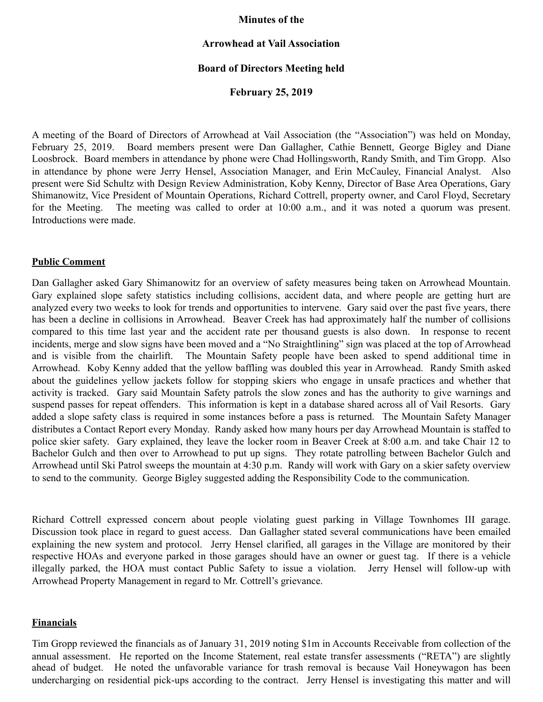#### **Minutes of the**

## **Arrowhead at Vail Association**

## **Board of Directors Meeting held**

### **February 25, 2019**

A meeting of the Board of Directors of Arrowhead at Vail Association (the "Association") was held on Monday, February 25, 2019. Board members present were Dan Gallagher, Cathie Bennett, George Bigley and Diane Loosbrock. Board members in attendance by phone were Chad Hollingsworth, Randy Smith, and Tim Gropp. Also in attendance by phone were Jerry Hensel, Association Manager, and Erin McCauley, Financial Analyst. Also present were Sid Schultz with Design Review Administration, Koby Kenny, Director of Base Area Operations, Gary Shimanowitz, Vice President of Mountain Operations, Richard Cottrell, property owner, and Carol Floyd, Secretary for the Meeting. The meeting was called to order at 10:00 a.m., and it was noted a quorum was present. Introductions were made.

#### **Public Comment**

Dan Gallagher asked Gary Shimanowitz for an overview of safety measures being taken on Arrowhead Mountain. Gary explained slope safety statistics including collisions, accident data, and where people are getting hurt are analyzed every two weeks to look for trends and opportunities to intervene. Gary said over the past five years, there has been a decline in collisions in Arrowhead. Beaver Creek has had approximately half the number of collisions compared to this time last year and the accident rate per thousand guests is also down. In response to recent incidents, merge and slow signs have been moved and a "No Straightlining" sign was placed at the top of Arrowhead and is visible from the chairlift. The Mountain Safety people have been asked to spend additional time in Arrowhead. Koby Kenny added that the yellow baffling was doubled this year in Arrowhead. Randy Smith asked about the guidelines yellow jackets follow for stopping skiers who engage in unsafe practices and whether that activity is tracked. Gary said Mountain Safety patrols the slow zones and has the authority to give warnings and suspend passes for repeat offenders. This information is kept in a database shared across all of Vail Resorts. Gary added a slope safety class is required in some instances before a pass is returned. The Mountain Safety Manager distributes a Contact Report every Monday. Randy asked how many hours per day Arrowhead Mountain is staffed to police skier safety. Gary explained, they leave the locker room in Beaver Creek at 8:00 a.m. and take Chair 12 to Bachelor Gulch and then over to Arrowhead to put up signs. They rotate patrolling between Bachelor Gulch and Arrowhead until Ski Patrol sweeps the mountain at 4:30 p.m. Randy will work with Gary on a skier safety overview to send to the community. George Bigley suggested adding the Responsibility Code to the communication.

Richard Cottrell expressed concern about people violating guest parking in Village Townhomes III garage. Discussion took place in regard to guest access. Dan Gallagher stated several communications have been emailed explaining the new system and protocol. Jerry Hensel clarified, all garages in the Village are monitored by their respective HOAs and everyone parked in those garages should have an owner or guest tag. If there is a vehicle illegally parked, the HOA must contact Public Safety to issue a violation. Jerry Hensel will follow-up with Arrowhead Property Management in regard to Mr. Cottrell's grievance.

### **Financials**

Tim Gropp reviewed the financials as of January 31, 2019 noting \$1m in Accounts Receivable from collection of the annual assessment. He reported on the Income Statement, real estate transfer assessments ("RETA") are slightly ahead of budget. He noted the unfavorable variance for trash removal is because Vail Honeywagon has been undercharging on residential pick-ups according to the contract. Jerry Hensel is investigating this matter and will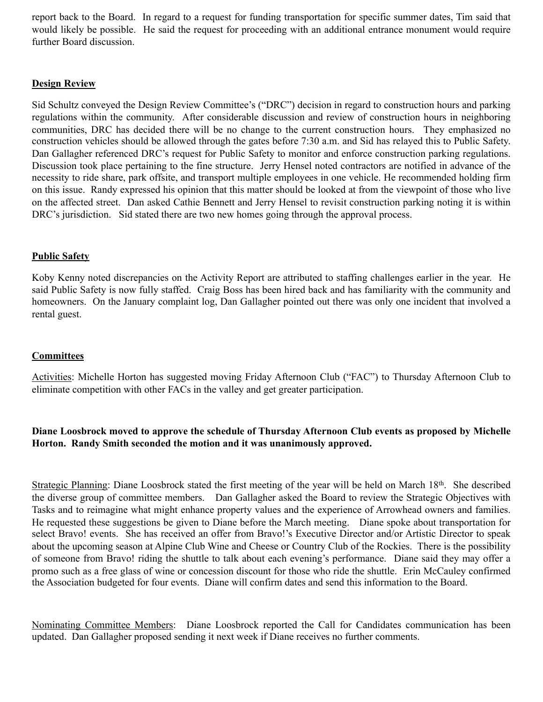report back to the Board. In regard to a request for funding transportation for specific summer dates, Tim said that would likely be possible. He said the request for proceeding with an additional entrance monument would require further Board discussion.

## **Design Review**

Sid Schultz conveyed the Design Review Committee's ("DRC") decision in regard to construction hours and parking regulations within the community. After considerable discussion and review of construction hours in neighboring communities, DRC has decided there will be no change to the current construction hours. They emphasized no construction vehicles should be allowed through the gates before 7:30 a.m. and Sid has relayed this to Public Safety. Dan Gallagher referenced DRC's request for Public Safety to monitor and enforce construction parking regulations. Discussion took place pertaining to the fine structure. Jerry Hensel noted contractors are notified in advance of the necessity to ride share, park offsite, and transport multiple employees in one vehicle. He recommended holding firm on this issue. Randy expressed his opinion that this matter should be looked at from the viewpoint of those who live on the affected street. Dan asked Cathie Bennett and Jerry Hensel to revisit construction parking noting it is within DRC's jurisdiction. Sid stated there are two new homes going through the approval process.

# **Public Safety**

Koby Kenny noted discrepancies on the Activity Report are attributed to staffing challenges earlier in the year. He said Public Safety is now fully staffed. Craig Boss has been hired back and has familiarity with the community and homeowners. On the January complaint log, Dan Gallagher pointed out there was only one incident that involved a rental guest.

# **Committees**

Activities: Michelle Horton has suggested moving Friday Afternoon Club ("FAC") to Thursday Afternoon Club to eliminate competition with other FACs in the valley and get greater participation.

# **Diane Loosbrock moved to approve the schedule of Thursday Afternoon Club events as proposed by Michelle Horton. Randy Smith seconded the motion and it was unanimously approved.**

Strategic Planning: Diane Loosbrock stated the first meeting of the year will be held on March 18th. She described the diverse group of committee members. Dan Gallagher asked the Board to review the Strategic Objectives with Tasks and to reimagine what might enhance property values and the experience of Arrowhead owners and families. He requested these suggestions be given to Diane before the March meeting. Diane spoke about transportation for select Bravo! events. She has received an offer from Bravo!'s Executive Director and/or Artistic Director to speak about the upcoming season at Alpine Club Wine and Cheese or Country Club of the Rockies. There is the possibility of someone from Bravo! riding the shuttle to talk about each evening's performance. Diane said they may offer a promo such as a free glass of wine or concession discount for those who ride the shuttle. Erin McCauley confirmed the Association budgeted for four events. Diane will confirm dates and send this information to the Board.

Nominating Committee Members: Diane Loosbrock reported the Call for Candidates communication has been updated. Dan Gallagher proposed sending it next week if Diane receives no further comments.